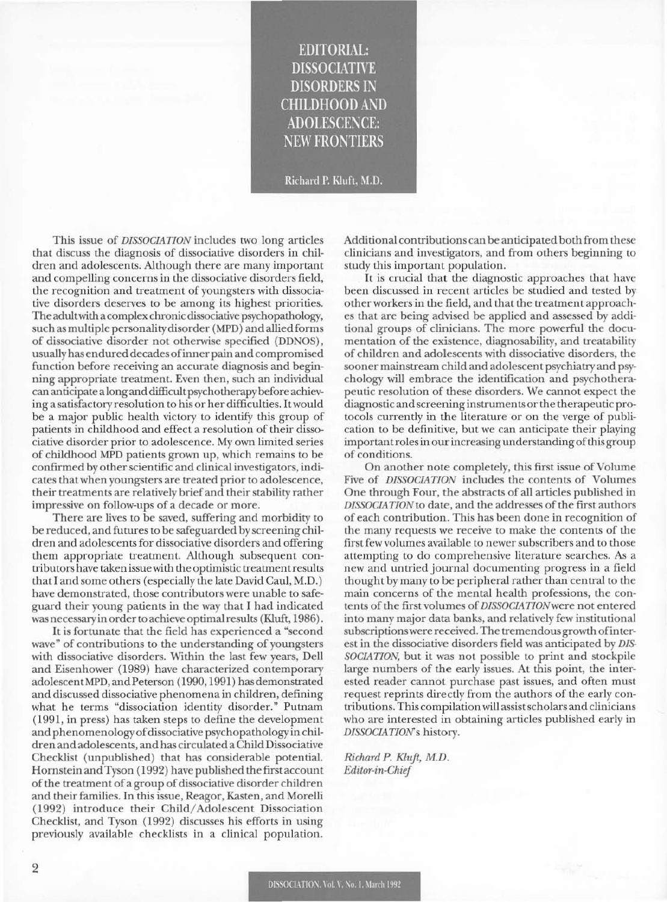## EDITORIAL: **DISSOCIATIVE** DISORDERS 1\ CHILDHOOD AND ADOLESCENCE: **NEW FRONTIERS**

Richard P. Kluft. M.D.

This issue of *DISSOCIATION* includes two long articles that discuss the diagnosis of dissociative disorders in children and adolescents. Although there are many important and compelling concerns in the dissociative disorders field, the recognition and treatment of youngsters with dissociative disorders deserves to be among its highest priorities. The adult with a complex chronic dissociative psychopathology, such as multiple personality disorder (MPD) and allied forms of dissociative disorder not otherwise specified (DDNOS) , usually has endured decades of inner pain and compromised function before receiving an accurate diagnosis and beginning appropriate treatment. Even then, such an individual can anticipate a long and difficult psychotherapy before achieving a satisfactory resolution to his or her difficulties. It would be a major public health victory to identify this group of patients in childhood and effect a resolution of their dissociative disorder prior to adolescence. My own limited series of childhood MPD patients grown up, which remains to be confirmed by other scientific and clinical investigators, indicates that when youngsters are treated prior to adolescence, their treatments are relatively brief and their stability rather impressive on follow-ups of a decade or more.

There are lives to be saved, suffering and morbidity to be reduced, and futures to be safeguarded by screening children and adolescents for dissociative disorders and offering them appropriate treatment. Although subsequent contributorshave taken issue with the optimistic treatmentresults that I and some others (especially the late David Caul, M.D.) have demonstrated, those contributors were unable to safeguard their young patients in the way that I had indicated was necessary in order to achieve optimal results (Kluft, 1986).

It is fortunate that the field has experienced a "second wave" of contributions to the understanding of youngsters with dissociative disorders. Within the last few years, Dell and Eisenhower (1989) have characterized contemporary adolescentMPD, and Peterson (1990, 1991) has demonstrated and discussed dissociative phenomena in children, defining what he terms "dissociation identity disorder." Putnam (1991, in press) has taken steps to define the development and phenomenology of dissociative psychopathology in children and adolescents, and has circulated a Child Dissociative Checklist (unpublished) that has considerable potential. Hornstein and Tyson (1992) have published the first account of the treatment of a group of dissociative disorder children and their families. In this issue, Reagor, Kasten, and Morelli (1992) introduce their Child/ Adolescent Dissociation Checklist, and Tyson (1992) discusses his efforts in using previously available checklists in a clinical population. Additional contributions can be anticipated both from these clinicians and investigators, and from others beginning to study this important population.

It is crucial that the diagnostic approaches that have been discussed in recent articles be studied and tested by other workers in the field, and that the treatmentapproaches that are being advised be applied and assessed byadditional groups of clinicians. The more powerful the documentation of the existence, diagnosability, and treatability of children and adolescents with dissociative disorders, the sooner mainstream child and adolescent psychiatry and psychology will embrace the identification and psychotherapeutic resolution of these disorders. We cannot expect the diagnostic and screening instruments or the therapeutic protocols currently in the literature or on the verge of publication to be definitive, but we can anticipate their playing important roles in our increasing understanding of this group of conditions.

On another note completely, this first issue of Volume Five of *DISSOCIATION* includes the contents of Volumes One through Four, the abstracts of all articles published in *DISSOCIATION* to date, and the addresses of the first authors of each contribution. This has been done in recognition of the many requests we receive to make the contents of the first few volumes available to newer subscribers and to those attempting to do comprehensive literature searches. As a new and untried journal documenting progress in a field thought by many to be peripheral rather than central to the main concerns of the mental health professions, the contents of the first volumes of *DISSOCIATION* were not entered into many major data banks, and relatively few institutional subscriptions were received. The tremendous growth of intcrest in the dissociative disorders field was anticipated by *DIS-SOCIATION,* but it was not possible to print and stockpile large numbers of the early issues. At this point, the interested reader cannot purchase past issues, and often must request reprints directly from the authors of the early contributions. This compilation will assist scholars and clinicians who are interested in obtaining articles published early in *DISSOCIATIoNs* history.

Richard P. Klujt, M.D. *Editor-in-Chit!*